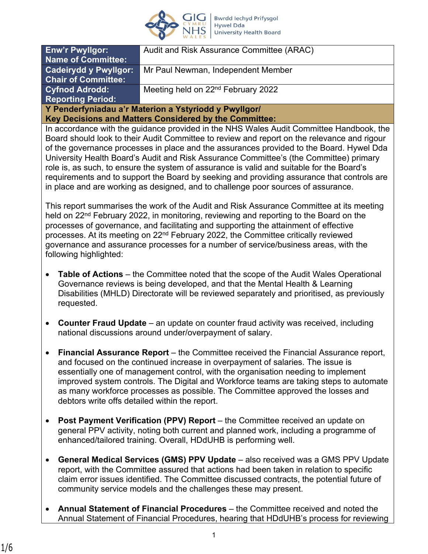

| <b>Enw'r Pwyllgor:</b>                                 | Audit and Risk Assurance Committee (ARAC)      |
|--------------------------------------------------------|------------------------------------------------|
| <b>Name of Committee:</b>                              |                                                |
| <b>Cadeirydd y Pwyllgor:</b>                           | Mr Paul Newman, Independent Member             |
| <b>Chair of Committee:</b>                             |                                                |
| <b>Cyfnod Adrodd:</b>                                  | Meeting held on 22 <sup>nd</sup> February 2022 |
| <b>Reporting Period:</b>                               |                                                |
| Y Penderfyniadau a'r Materion a Ystyriodd y Pwyllgor/  |                                                |
| Key Decisions and Matters Considered by the Committee: |                                                |

In accordance with the guidance provided in the NHS Wales Audit Committee Handbook, the Board should look to their Audit Committee to review and report on the relevance and rigour of the governance processes in place and the assurances provided to the Board. Hywel Dda University Health Board's Audit and Risk Assurance Committee's (the Committee) primary role is, as such, to ensure the system of assurance is valid and suitable for the Board's requirements and to support the Board by seeking and providing assurance that controls are in place and are working as designed, and to challenge poor sources of assurance.

This report summarises the work of the Audit and Risk Assurance Committee at its meeting held on 22<sup>nd</sup> February 2022, in monitoring, reviewing and reporting to the Board on the processes of governance, and facilitating and supporting the attainment of effective processes. At its meeting on 22<sup>nd</sup> February 2022, the Committee critically reviewed governance and assurance processes for a number of service/business areas, with the following highlighted:

- **Table of Actions**  the Committee noted that the scope of the Audit Wales Operational Governance reviews is being developed, and that the Mental Health & Learning Disabilities (MHLD) Directorate will be reviewed separately and prioritised, as previously requested.
- **Counter Fraud Update** an update on counter fraud activity was received, including national discussions around under/overpayment of salary.
- **Financial Assurance Report** the Committee received the Financial Assurance report, and focused on the continued increase in overpayment of salaries. The issue is essentially one of management control, with the organisation needing to implement improved system controls. The Digital and Workforce teams are taking steps to automate as many workforce processes as possible. The Committee approved the losses and debtors write offs detailed within the report.
- **Post Payment Verification (PPV) Report** the Committee received an update on general PPV activity, noting both current and planned work, including a programme of enhanced/tailored training. Overall, HDdUHB is performing well.
- **General Medical Services (GMS) PPV Update**  also received was a GMS PPV Update report, with the Committee assured that actions had been taken in relation to specific claim error issues identified. The Committee discussed contracts, the potential future of community service models and the challenges these may present.
- **Annual Statement of Financial Procedures** the Committee received and noted the Annual Statement of Financial Procedures, hearing that HDdUHB's process for reviewing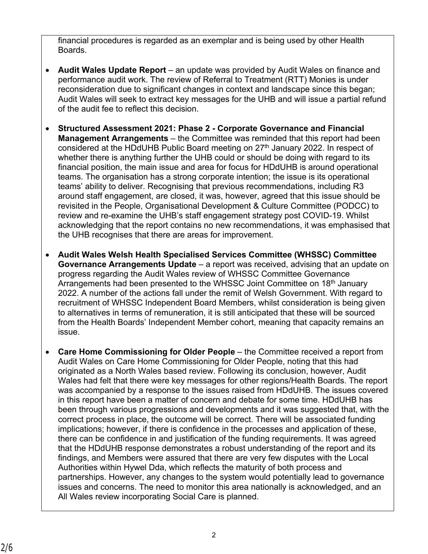financial procedures is regarded as an exemplar and is being used by other Health Boards.

- **Audit Wales Update Report** an update was provided by Audit Wales on finance and performance audit work. The review of Referral to Treatment (RTT) Monies is under reconsideration due to significant changes in context and landscape since this began; Audit Wales will seek to extract key messages for the UHB and will issue a partial refund of the audit fee to reflect this decision.
- **Structured Assessment 2021: Phase 2 Corporate Governance and Financial Management Arrangements** – the Committee was reminded that this report had been considered at the HDdUHB Public Board meeting on 27<sup>th</sup> January 2022. In respect of whether there is anything further the UHB could or should be doing with regard to its financial position, the main issue and area for focus for HDdUHB is around operational teams. The organisation has a strong corporate intention; the issue is its operational teams' ability to deliver. Recognising that previous recommendations, including R3 around staff engagement, are closed, it was, however, agreed that this issue should be revisited in the People, Organisational Development & Culture Committee (PODCC) to review and re-examine the UHB's staff engagement strategy post COVID-19. Whilst acknowledging that the report contains no new recommendations, it was emphasised that the UHB recognises that there are areas for improvement.
- **Audit Wales Welsh Health Specialised Services Committee (WHSSC) Committee Governance Arrangements Update** – a report was received, advising that an update on progress regarding the Audit Wales review of WHSSC Committee Governance Arrangements had been presented to the WHSSC Joint Committee on 18<sup>th</sup> January 2022. A number of the actions fall under the remit of Welsh Government. With regard to recruitment of WHSSC Independent Board Members, whilst consideration is being given to alternatives in terms of remuneration, it is still anticipated that these will be sourced from the Health Boards' Independent Member cohort, meaning that capacity remains an issue.
- **Care Home Commissioning for Older People** the Committee received a report from Audit Wales on Care Home Commissioning for Older People, noting that this had originated as a North Wales based review. Following its conclusion, however, Audit Wales had felt that there were key messages for other regions/Health Boards. The report was accompanied by a response to the issues raised from HDdUHB. The issues covered in this report have been a matter of concern and debate for some time. HDdUHB has been through various progressions and developments and it was suggested that, with the correct process in place, the outcome will be correct. There will be associated funding implications; however, if there is confidence in the processes and application of these, there can be confidence in and justification of the funding requirements. It was agreed that the HDdUHB response demonstrates a robust understanding of the report and its findings, and Members were assured that there are very few disputes with the Local Authorities within Hywel Dda, which reflects the maturity of both process and partnerships. However, any changes to the system would potentially lead to governance issues and concerns. The need to monitor this area nationally is acknowledged, and an All Wales review incorporating Social Care is planned.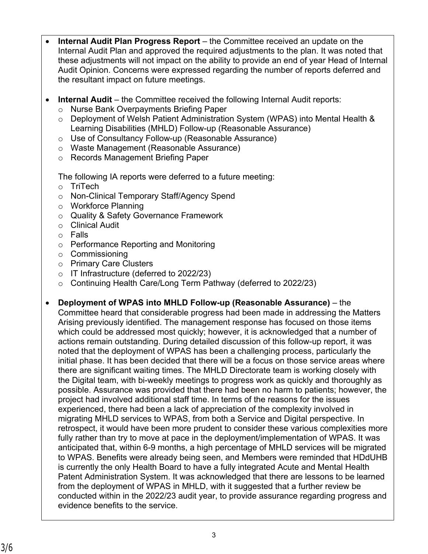- **Internal Audit Plan Progress Report** the Committee received an update on the Internal Audit Plan and approved the required adjustments to the plan. It was noted that these adjustments will not impact on the ability to provide an end of year Head of Internal Audit Opinion. Concerns were expressed regarding the number of reports deferred and the resultant impact on future meetings.
- **Internal Audit** the Committee received the following Internal Audit reports:
	- o Nurse Bank Overpayments Briefing Paper
	- o Deployment of Welsh Patient Administration System (WPAS) into Mental Health & Learning Disabilities (MHLD) Follow-up (Reasonable Assurance)
	- o Use of Consultancy Follow-up (Reasonable Assurance)
	- o Waste Management (Reasonable Assurance)
	- o Records Management Briefing Paper

The following IA reports were deferred to a future meeting:

- o TriTech
- o Non-Clinical Temporary Staff/Agency Spend
- o Workforce Planning
- o Quality & Safety Governance Framework
- o Clinical Audit
- o Falls
- o Performance Reporting and Monitoring
- o Commissioning
- o Primary Care Clusters
- o IT Infrastructure (deferred to 2022/23)
- o Continuing Health Care/Long Term Pathway (deferred to 2022/23)
- **Deployment of WPAS into MHLD Follow-up (Reasonable Assurance)** the Committee heard that considerable progress had been made in addressing the Matters Arising previously identified. The management response has focused on those items which could be addressed most quickly; however, it is acknowledged that a number of actions remain outstanding. During detailed discussion of this follow-up report, it was noted that the deployment of WPAS has been a challenging process, particularly the initial phase. It has been decided that there will be a focus on those service areas where there are significant waiting times. The MHLD Directorate team is working closely with the Digital team, with bi-weekly meetings to progress work as quickly and thoroughly as possible. Assurance was provided that there had been no harm to patients; however, the project had involved additional staff time. In terms of the reasons for the issues experienced, there had been a lack of appreciation of the complexity involved in migrating MHLD services to WPAS, from both a Service and Digital perspective. In retrospect, it would have been more prudent to consider these various complexities more fully rather than try to move at pace in the deployment/implementation of WPAS. It was anticipated that, within 6-9 months, a high percentage of MHLD services will be migrated to WPAS. Benefits were already being seen, and Members were reminded that HDdUHB is currently the only Health Board to have a fully integrated Acute and Mental Health Patent Administration System. It was acknowledged that there are lessons to be learned from the deployment of WPAS in MHLD, with it suggested that a further review be conducted within in the 2022/23 audit year, to provide assurance regarding progress and evidence benefits to the service.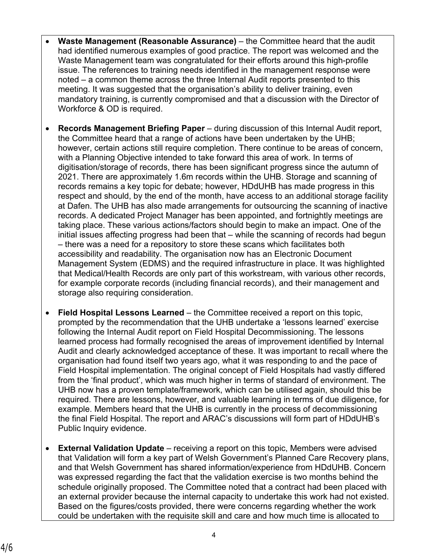- **Waste Management (Reasonable Assurance)** the Committee heard that the audit had identified numerous examples of good practice. The report was welcomed and the Waste Management team was congratulated for their efforts around this high-profile issue. The references to training needs identified in the management response were noted – a common theme across the three Internal Audit reports presented to this meeting. It was suggested that the organisation's ability to deliver training, even mandatory training, is currently compromised and that a discussion with the Director of Workforce & OD is required.
- **Records Management Briefing Paper** during discussion of this Internal Audit report, the Committee heard that a range of actions have been undertaken by the UHB; however, certain actions still require completion. There continue to be areas of concern, with a Planning Objective intended to take forward this area of work. In terms of digitisation/storage of records, there has been significant progress since the autumn of 2021. There are approximately 1.6m records within the UHB. Storage and scanning of records remains a key topic for debate; however, HDdUHB has made progress in this respect and should, by the end of the month, have access to an additional storage facility at Dafen. The UHB has also made arrangements for outsourcing the scanning of inactive records. A dedicated Project Manager has been appointed, and fortnightly meetings are taking place. These various actions/factors should begin to make an impact. One of the initial issues affecting progress had been that – while the scanning of records had begun – there was a need for a repository to store these scans which facilitates both accessibility and readability. The organisation now has an Electronic Document Management System (EDMS) and the required infrastructure in place. It was highlighted that Medical/Health Records are only part of this workstream, with various other records, for example corporate records (including financial records), and their management and storage also requiring consideration.
- **Field Hospital Lessons Learned**  the Committee received a report on this topic, prompted by the recommendation that the UHB undertake a 'lessons learned' exercise following the Internal Audit report on Field Hospital Decommissioning. The lessons learned process had formally recognised the areas of improvement identified by Internal Audit and clearly acknowledged acceptance of these. It was important to recall where the organisation had found itself two years ago, what it was responding to and the pace of Field Hospital implementation. The original concept of Field Hospitals had vastly differed from the 'final product', which was much higher in terms of standard of environment. The UHB now has a proven template/framework, which can be utilised again, should this be required. There are lessons, however, and valuable learning in terms of due diligence, for example. Members heard that the UHB is currently in the process of decommissioning the final Field Hospital. The report and ARAC's discussions will form part of HDdUHB's Public Inquiry evidence.
- **External Validation Update** receiving a report on this topic, Members were advised that Validation will form a key part of Welsh Government's Planned Care Recovery plans, and that Welsh Government has shared information/experience from HDdUHB. Concern was expressed regarding the fact that the validation exercise is two months behind the schedule originally proposed. The Committee noted that a contract had been placed with an external provider because the internal capacity to undertake this work had not existed. Based on the figures/costs provided, there were concerns regarding whether the work could be undertaken with the requisite skill and care and how much time is allocated to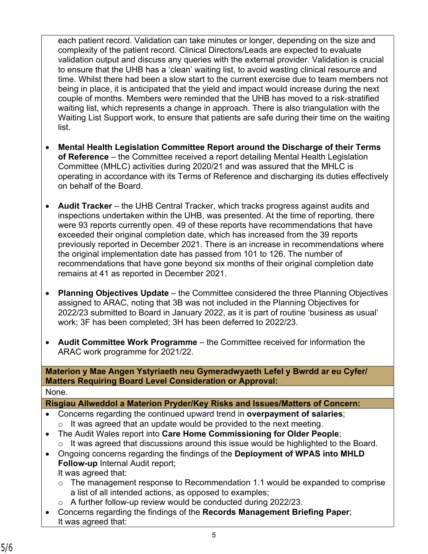each patient record. Validation can take minutes or longer, depending on the size and complexity of the patient record. Clinical Directors/Leads are expected to evaluate validation output and discuss any queries with the external provider. Validation is crucial to ensure that the UHB has a 'clean' waiting list, to avoid wasting clinical resource and time. Whilst there had been a slow start to the current exercise due to team members not being in place, it is anticipated that the yield and impact would increase during the next couple of months. Members were reminded that the UHB has moved to a risk-stratified waiting list, which represents a change in approach. There is also triangulation with the Waiting List Support work, to ensure that patients are safe during their time on the waiting list.

- **Mental Health Legislation Committee Report around the Discharge of their Terms of Reference** – the Committee received a report detailing Mental Health Legislation Committee (MHLC) activities during 2020/21 and was assured that the MHLC is operating in accordance with its Terms of Reference and discharging its duties effectively on behalf of the Board.
- **Audit Tracker** the UHB Central Tracker, which tracks progress against audits and inspections undertaken within the UHB, was presented. At the time of reporting, there were 93 reports currently open. 49 of these reports have recommendations that have exceeded their original completion date, which has increased from the 39 reports previously reported in December 2021. There is an increase in recommendations where the original implementation date has passed from 101 to 126. The number of recommendations that have gone beyond six months of their original completion date remains at 41 as reported in December 2021.
- **Planning Objectives Update** the Committee considered the three Planning Objectives assigned to ARAC, noting that 3B was not included in the Planning Objectives for 2022/23 submitted to Board in January 2022, as it is part of routine 'business as usual' work; 3F has been completed; 3H has been deferred to 2022/23.
- **Audit Committee Work Programme** the Committee received for information the ARAC work programme for 2021/22.

**Materion y Mae Angen Ystyriaeth neu Gymeradwyaeth Lefel y Bwrdd ar eu Cyfer/ Matters Requiring Board Level Consideration or Approval:** None.

**Risgiau Allweddol a Materion Pryder/Key Risks and Issues/Matters of Concern:**

- Concerns regarding the continued upward trend in **overpayment of salaries**;  $\circ$  It was agreed that an update would be provided to the next meeting.
- The Audit Wales report into **Care Home Commissioning for Older People**;  $\circ$  It was agreed that discussions around this issue would be highlighted to the Board.
- Ongoing concerns regarding the findings of the **Deployment of WPAS into MHLD Follow-up** Internal Audit report; It was agreed that:
	- o The management response to Recommendation 1.1 would be expanded to comprise a list of all intended actions, as opposed to examples;
	- $\circ$  A further follow-up review would be conducted during 2022/23.
- Concerns regarding the findings of the **Records Management Briefing Paper**; It was agreed that: